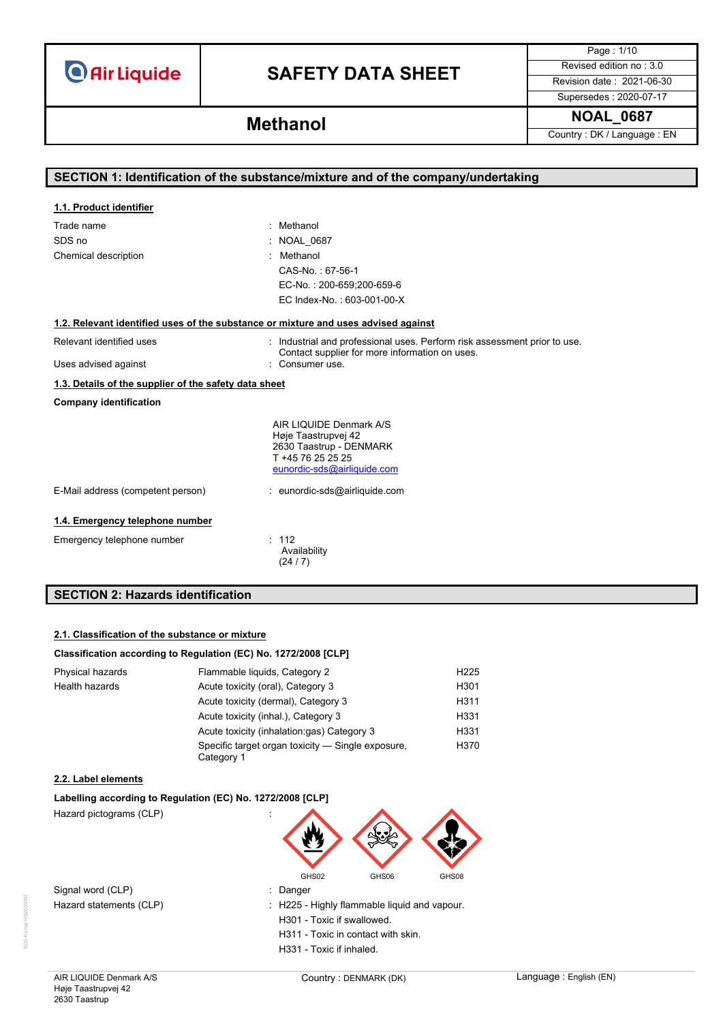# **SAFETY DATA SHEET** Revised edition no : 3.0

Page : 1/10

Supersedes : 2020-07-17

# **NOAL\_0687 Methanol**

Country : DK / Language : EN

| SECTION 1: Identification of the substance/mixture and of the company/undertaking  |                                                                                                                             |  |
|------------------------------------------------------------------------------------|-----------------------------------------------------------------------------------------------------------------------------|--|
|                                                                                    |                                                                                                                             |  |
| 1.1. Product identifier                                                            |                                                                                                                             |  |
| Trade name                                                                         | : Methanol                                                                                                                  |  |
| SDS no                                                                             | <b>NOAL 0687</b>                                                                                                            |  |
| Chemical description                                                               | Methanol                                                                                                                    |  |
|                                                                                    | CAS-No.: 67-56-1                                                                                                            |  |
|                                                                                    | EC-No.: 200-659;200-659-6                                                                                                   |  |
|                                                                                    | EC Index-No.: 603-001-00-X                                                                                                  |  |
| 1.2. Relevant identified uses of the substance or mixture and uses advised against |                                                                                                                             |  |
| Relevant identified uses                                                           | : Industrial and professional uses. Perform risk assessment prior to use.<br>Contact supplier for more information on uses. |  |
| Uses advised against                                                               | : Consumer use.                                                                                                             |  |
| 1.3. Details of the supplier of the safety data sheet                              |                                                                                                                             |  |
| <b>Company identification</b>                                                      |                                                                                                                             |  |
|                                                                                    | AIR LIQUIDE Denmark A/S                                                                                                     |  |
|                                                                                    | Høje Taastrupvej 42<br>2630 Taastrup - DENMARK                                                                              |  |
|                                                                                    | T +45 76 25 25 25                                                                                                           |  |
|                                                                                    | eunordic-sds@airliquide.com                                                                                                 |  |
| E-Mail address (competent person)                                                  | : eunordic-sds@airliquide.com                                                                                               |  |
| 1.4. Emergency telephone number                                                    |                                                                                                                             |  |
| Emergency telephone number                                                         | : 112<br>Availability                                                                                                       |  |
|                                                                                    | (24/7)                                                                                                                      |  |
|                                                                                    |                                                                                                                             |  |
| <b>SECTION 2: Hazards identification</b>                                           |                                                                                                                             |  |

# **2.1. Classification of the substance or mixture**

### **Classification according to Regulation (EC) No. 1272/2008 [CLP]**

| Physical hazards | Flammable liquids, Category 2                                   | H <sub>225</sub> |
|------------------|-----------------------------------------------------------------|------------------|
| Health hazards   | Acute toxicity (oral), Category 3                               | H <sub>301</sub> |
|                  | Acute toxicity (dermal), Category 3                             | H311             |
|                  | Acute toxicity (inhal.), Category 3                             | H331             |
|                  | Acute toxicity (inhalation:gas) Category 3                      | H331             |
|                  | Specific target organ toxicity — Single exposure,<br>Category 1 | H370             |

### **2.2. Label elements**

### **Labelling according to Regulation (EC) No. 1272/2008 [CLP]**

Hazard pictograms (CLP) :



Signal word (CLP) **in the set of the Signal word** (CLP) Hazard statements (CLP) : H225 - Highly flammable liquid and vapour.

H301 - Toxic if swallowed. H311 - Toxic in contact with skin.

H331 - Toxic if inhaled.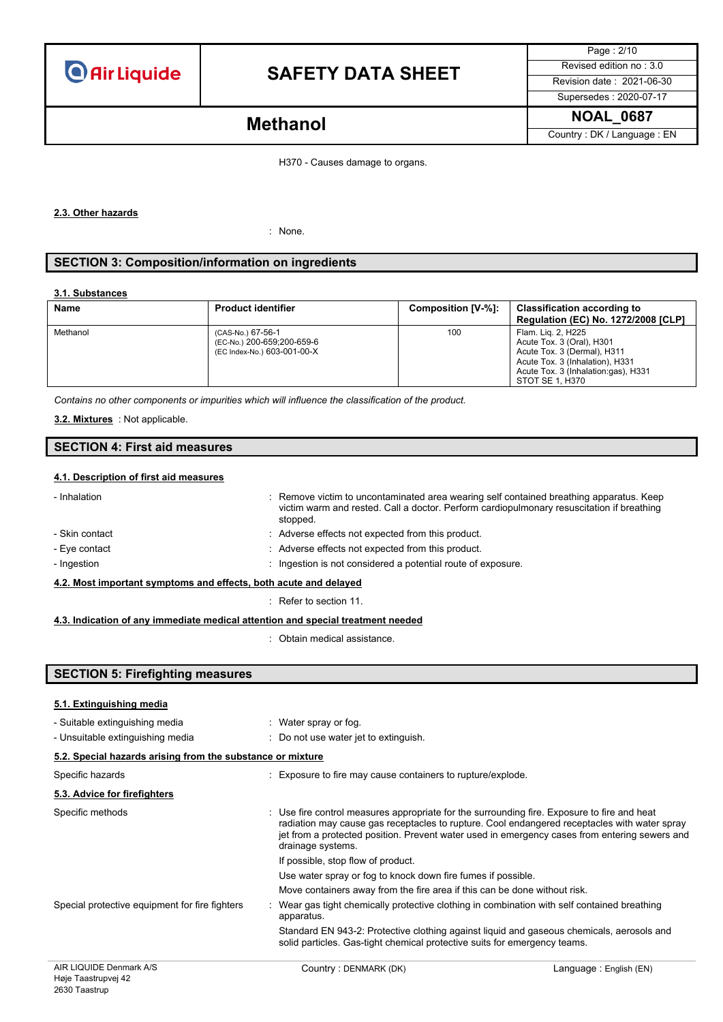

Page : 2/10 Supersedes : 2020-07-17

Country : DK / Language : EN

# **NOAL\_0687 Methanol**

H370 - Causes damage to organs.

#### **2.3. Other hazards**

: None.

## **SECTION 3: Composition/information on ingredients**

#### **3.1. Substances**

| Name     | <b>Product identifier</b>                                                      | Composition [V-%]: | <b>Classification according to</b><br><b>Regulation (EC) No. 1272/2008 [CLP]</b>                                                                                            |
|----------|--------------------------------------------------------------------------------|--------------------|-----------------------------------------------------------------------------------------------------------------------------------------------------------------------------|
| Methanol | (CAS-No.) 67-56-1<br>(EC-No.) 200-659;200-659-6<br>(EC Index-No.) 603-001-00-X | 100                | Flam. Lig. 2, H225<br>Acute Tox. 3 (Oral), H301<br>Acute Tox. 3 (Dermal), H311<br>Acute Tox. 3 (Inhalation), H331<br>Acute Tox. 3 (Inhalation:gas), H331<br>STOT SE 1, H370 |

*Contains no other components or impurities which will influence the classification of the product.*

: Not applicable. **3.2. Mixtures**

# **SECTION 4: First aid measures**

#### **4.1. Description of first aid measures**

| - Inhalation                                                                                                 | : Remove victim to uncontaminated area wearing self contained breathing apparatus. Keep<br>victim warm and rested. Call a doctor. Perform cardiopulmonary resuscitation if breathing<br>stopped. |  |  |
|--------------------------------------------------------------------------------------------------------------|--------------------------------------------------------------------------------------------------------------------------------------------------------------------------------------------------|--|--|
| - Skin contact                                                                                               | : Adverse effects not expected from this product.                                                                                                                                                |  |  |
| - Eye contact                                                                                                | : Adverse effects not expected from this product.                                                                                                                                                |  |  |
| - Ingestion                                                                                                  | : Ingestion is not considered a potential route of exposure.                                                                                                                                     |  |  |
| 4.2. Most important symptoms and effects, both acute and delayed                                             |                                                                                                                                                                                                  |  |  |
|                                                                                                              | Refer to section 11                                                                                                                                                                              |  |  |
| A A the disculsion of second computations of discuted in the colored second alternative state of a second of |                                                                                                                                                                                                  |  |  |

**4.3. Indication of any immediate medical attention and special treatment needed**

: Obtain medical assistance.

## **SECTION 5: Firefighting measures**

| 5.1. Extinguishing media                                   |                                                                                                                                                                        |                                                                                                                                                                                               |
|------------------------------------------------------------|------------------------------------------------------------------------------------------------------------------------------------------------------------------------|-----------------------------------------------------------------------------------------------------------------------------------------------------------------------------------------------|
| - Suitable extinguishing media                             | : Water spray or fog.                                                                                                                                                  |                                                                                                                                                                                               |
| - Unsuitable extinguishing media                           | : Do not use water jet to extinguish.                                                                                                                                  |                                                                                                                                                                                               |
| 5.2. Special hazards arising from the substance or mixture |                                                                                                                                                                        |                                                                                                                                                                                               |
| Specific hazards                                           | Exposure to fire may cause containers to rupture/explode.                                                                                                              |                                                                                                                                                                                               |
| 5.3. Advice for firefighters                               |                                                                                                                                                                        |                                                                                                                                                                                               |
| Specific methods                                           | : Use fire control measures appropriate for the surrounding fire. Exposure to fire and heat<br>drainage systems.                                                       | radiation may cause gas receptacles to rupture. Cool endangered receptacles with water spray<br>jet from a protected position. Prevent water used in emergency cases from entering sewers and |
|                                                            | If possible, stop flow of product.                                                                                                                                     |                                                                                                                                                                                               |
|                                                            | Use water spray or fog to knock down fire fumes if possible.                                                                                                           |                                                                                                                                                                                               |
|                                                            | Move containers away from the fire area if this can be done without risk.                                                                                              |                                                                                                                                                                                               |
| Special protective equipment for fire fighters             | Wear gas tight chemically protective clothing in combination with self contained breathing<br>apparatus.                                                               |                                                                                                                                                                                               |
|                                                            | Standard EN 943-2: Protective clothing against liquid and gaseous chemicals, aerosols and<br>solid particles. Gas-tight chemical protective suits for emergency teams. |                                                                                                                                                                                               |
| AIR LIQUIDE Denmark A/S                                    | Country: DENMARK (DK)                                                                                                                                                  | Language: English (EN)                                                                                                                                                                        |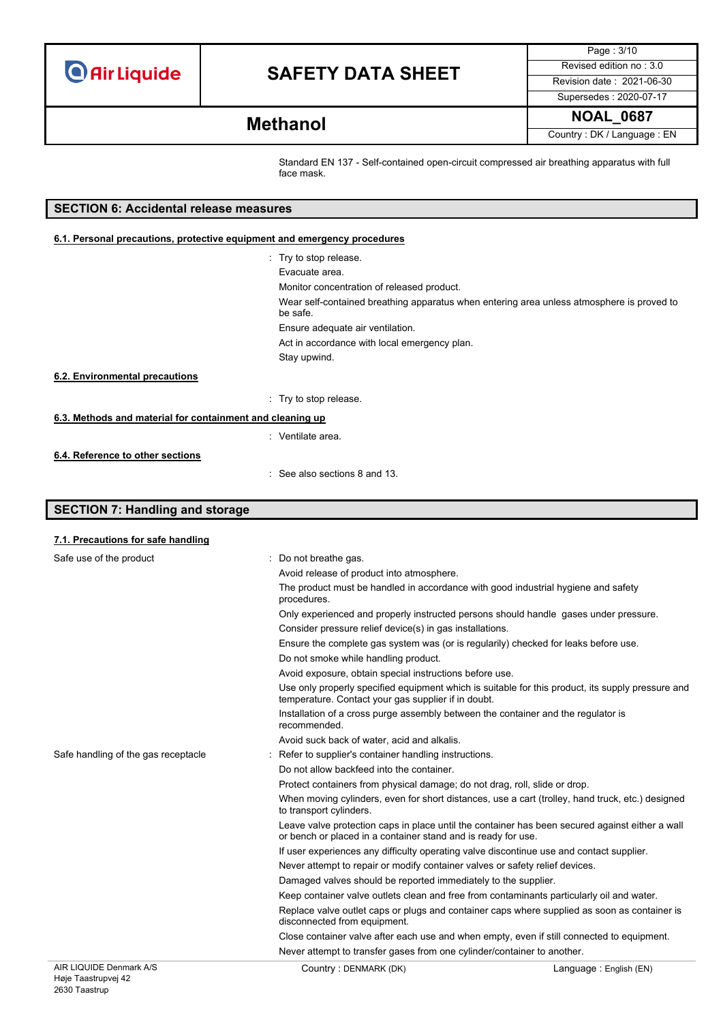**SECTION 7: Handling and storage**

# **SAFETY DATA SHEET** Revised edition no : 3.0

Page : 3/10 Supersedes : 2020-07-17

**NOAL\_0687 Methanol**

Country : DK / Language : EN

Standard EN 137 - Self-contained open-circuit compressed air breathing apparatus with full face mask.

| <b>SECTION 6: Accidental release measures</b>                            |                                                                                                       |  |  |  |
|--------------------------------------------------------------------------|-------------------------------------------------------------------------------------------------------|--|--|--|
| 6.1. Personal precautions, protective equipment and emergency procedures |                                                                                                       |  |  |  |
|                                                                          | : Try to stop release.                                                                                |  |  |  |
|                                                                          | Evacuate area.                                                                                        |  |  |  |
|                                                                          | Monitor concentration of released product.                                                            |  |  |  |
|                                                                          | Wear self-contained breathing apparatus when entering area unless atmosphere is proved to<br>be safe. |  |  |  |
|                                                                          | Ensure adequate air ventilation.                                                                      |  |  |  |
|                                                                          | Act in accordance with local emergency plan.                                                          |  |  |  |
|                                                                          | Stay upwind.                                                                                          |  |  |  |
| 6.2. Environmental precautions                                           |                                                                                                       |  |  |  |
|                                                                          | : Try to stop release.                                                                                |  |  |  |
| 6.3. Methods and material for containment and cleaning up                |                                                                                                       |  |  |  |
|                                                                          | : Ventilate area.                                                                                     |  |  |  |
| 6.4. Reference to other sections                                         |                                                                                                       |  |  |  |
|                                                                          | See also sections 8 and 13.                                                                           |  |  |  |

## AIR LIQUIDE Denmark A/S Country : DENMARK (DK) Country : DENMARK (DK) **7.1. Precautions for safe handling** Safe use of the product : Do not breathe gas. Avoid release of product into atmosphere. The product must be handled in accordance with good industrial hygiene and safety procedures. Only experienced and properly instructed persons should handle gases under pressure. Consider pressure relief device(s) in gas installations. Ensure the complete gas system was (or is regularily) checked for leaks before use. Do not smoke while handling product. Avoid exposure, obtain special instructions before use. Use only properly specified equipment which is suitable for this product, its supply pressure and temperature. Contact your gas supplier if in doubt. Installation of a cross purge assembly between the container and the regulator is recommended. Avoid suck back of water, acid and alkalis. Safe handling of the gas receptacle : Refer to supplier's container handling instructions. Do not allow backfeed into the container. Protect containers from physical damage; do not drag, roll, slide or drop. When moving cylinders, even for short distances, use a cart (trolley, hand truck, etc.) designed to transport cylinders. Leave valve protection caps in place until the container has been secured against either a wall or bench or placed in a container stand and is ready for use. If user experiences any difficulty operating valve discontinue use and contact supplier. Never attempt to repair or modify container valves or safety relief devices. Damaged valves should be reported immediately to the supplier. Keep container valve outlets clean and free from contaminants particularly oil and water. Replace valve outlet caps or plugs and container caps where supplied as soon as container is disconnected from equipment. Close container valve after each use and when empty, even if still connected to equipment. Never attempt to transfer gases from one cylinder/container to another.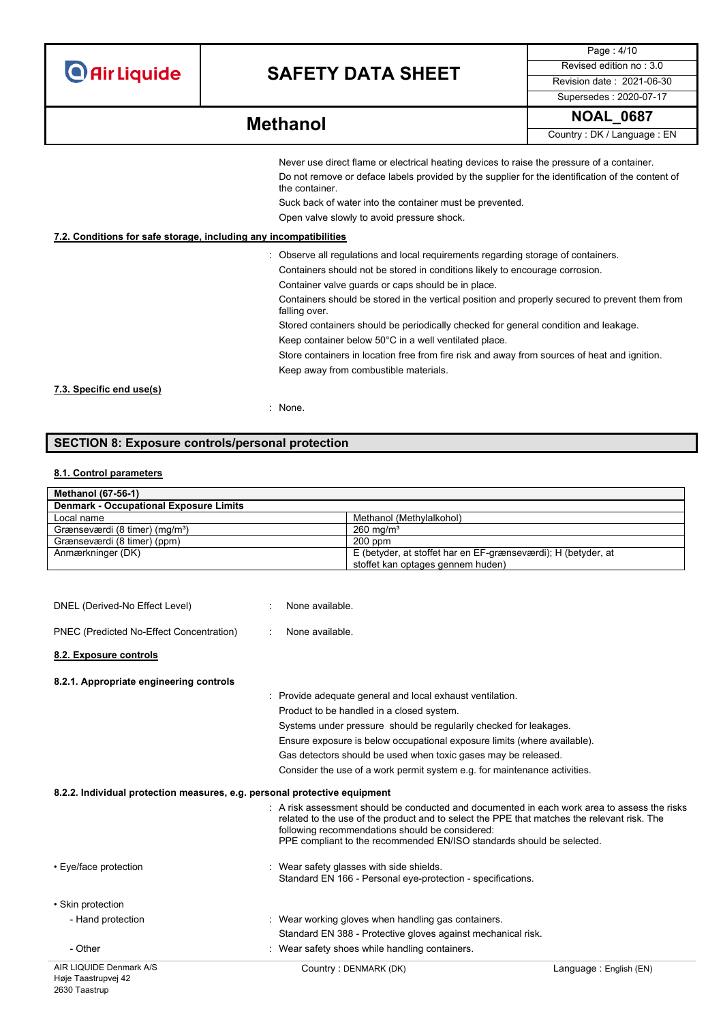# **SAFETY DATA SHEET** Revised edition no : 3.0

Page : 4/10 Supersedes : 2020-07-17

**NOAL\_0687 Methanol**

Country : DK / Language : EN

| Never use direct flame or electrical heating devices to raise the pressure of a container.                         |
|--------------------------------------------------------------------------------------------------------------------|
| Do not remove or deface labels provided by the supplier for the identification of the content of<br>the container. |
| Suck back of water into the container must be prevented                                                            |

Suck back of water into the container must be prevented.

Open valve slowly to avoid pressure shock.

### **7.2. Conditions for safe storage, including any incompatibilities**

- : Observe all regulations and local requirements regarding storage of containers.
	- Containers should not be stored in conditions likely to encourage corrosion.
	- Container valve guards or caps should be in place.

Containers should be stored in the vertical position and properly secured to prevent them from falling over.

Stored containers should be periodically checked for general condition and leakage.

Keep container below 50°C in a well ventilated place.

Store containers in location free from fire risk and away from sources of heat and ignition. Keep away from combustible materials.

**7.3. Specific end use(s)**

: None.

# **SECTION 8: Exposure controls/personal protection**

## **8.1. Control parameters**

| <b>Methanol (67-56-1)</b>                     |                                                               |
|-----------------------------------------------|---------------------------------------------------------------|
| <b>Denmark - Occupational Exposure Limits</b> |                                                               |
| Local name                                    | Methanol (Methylalkohol)                                      |
| Grænseværdi (8 timer) (mg/m <sup>3</sup> )    | $260 \text{ mg/m}^3$                                          |
| Grænseværdi (8 timer) (ppm)                   | $200$ ppm                                                     |
| Anmærkninger (DK)                             | E (betyder, at stoffet har en EF-grænseværdi); H (betyder, at |
|                                               | stoffet kan optages gennem huden)                             |

| AIR LIQUIDE Denmark A/S                                                   | Country: DENMARK (DK)                                                                                                                                                                                                                                                                                                              | Language: English (EN) |
|---------------------------------------------------------------------------|------------------------------------------------------------------------------------------------------------------------------------------------------------------------------------------------------------------------------------------------------------------------------------------------------------------------------------|------------------------|
| - Other                                                                   | : Wear safety shoes while handling containers.                                                                                                                                                                                                                                                                                     |                        |
|                                                                           | Standard EN 388 - Protective gloves against mechanical risk.                                                                                                                                                                                                                                                                       |                        |
| • Skin protection<br>- Hand protection                                    | : Wear working gloves when handling gas containers.                                                                                                                                                                                                                                                                                |                        |
|                                                                           | Standard EN 166 - Personal eye-protection - specifications.                                                                                                                                                                                                                                                                        |                        |
| • Eye/face protection                                                     | : Wear safety glasses with side shields.                                                                                                                                                                                                                                                                                           |                        |
|                                                                           | $\therefore$ A risk assessment should be conducted and documented in each work area to assess the risks<br>related to the use of the product and to select the PPE that matches the relevant risk. The<br>following recommendations should be considered:<br>PPE compliant to the recommended EN/ISO standards should be selected. |                        |
| 8.2.2. Individual protection measures, e.g. personal protective equipment |                                                                                                                                                                                                                                                                                                                                    |                        |
|                                                                           | Consider the use of a work permit system e.g. for maintenance activities.                                                                                                                                                                                                                                                          |                        |
|                                                                           | Gas detectors should be used when toxic gases may be released.                                                                                                                                                                                                                                                                     |                        |
|                                                                           | Ensure exposure is below occupational exposure limits (where available).                                                                                                                                                                                                                                                           |                        |
|                                                                           | Systems under pressure should be regularily checked for leakages.                                                                                                                                                                                                                                                                  |                        |
|                                                                           | Provide adequate general and local exhaust ventilation.<br>Product to be handled in a closed system.                                                                                                                                                                                                                               |                        |
| 8.2.1. Appropriate engineering controls                                   |                                                                                                                                                                                                                                                                                                                                    |                        |
| 8.2. Exposure controls                                                    |                                                                                                                                                                                                                                                                                                                                    |                        |
| PNEC (Predicted No-Effect Concentration)                                  | None available.                                                                                                                                                                                                                                                                                                                    |                        |
| DNEL (Derived-No Effect Level)                                            | None available.                                                                                                                                                                                                                                                                                                                    |                        |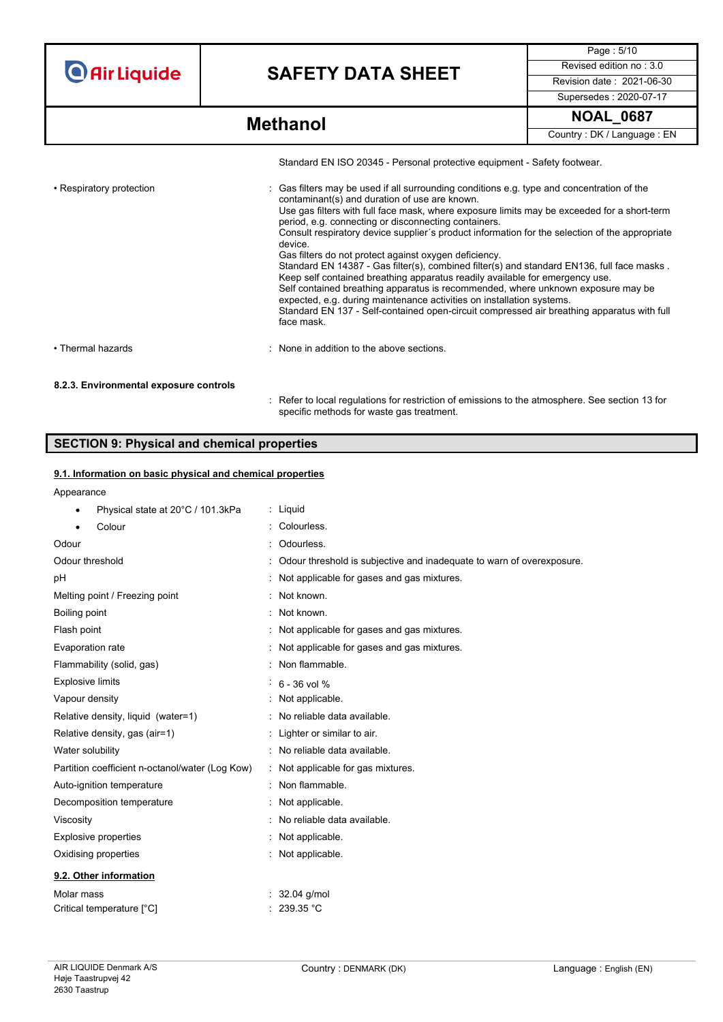# **SAFETY DATA SHEET** Revised edition no : 3.0

Page : 5/10 Supersedes : 2020-07-17

|                                        | Standard EN ISO 20345 - Personal protective equipment - Safety footwear.                                                                                                                                                                                                                                                                                                                                                                                                                                                                                                                                                                                                                                                                                                                                                                                                                                                        |
|----------------------------------------|---------------------------------------------------------------------------------------------------------------------------------------------------------------------------------------------------------------------------------------------------------------------------------------------------------------------------------------------------------------------------------------------------------------------------------------------------------------------------------------------------------------------------------------------------------------------------------------------------------------------------------------------------------------------------------------------------------------------------------------------------------------------------------------------------------------------------------------------------------------------------------------------------------------------------------|
| • Respiratory protection               | : Gas filters may be used if all surrounding conditions e.g. type and concentration of the<br>contaminant(s) and duration of use are known.<br>Use gas filters with full face mask, where exposure limits may be exceeded for a short-term<br>period, e.g. connecting or disconnecting containers.<br>Consult respiratory device supplier's product information for the selection of the appropriate<br>device.<br>Gas filters do not protect against oxygen deficiency.<br>Standard EN 14387 - Gas filter(s), combined filter(s) and standard EN136, full face masks.<br>Keep self contained breathing apparatus readily available for emergency use.<br>Self contained breathing apparatus is recommended, where unknown exposure may be<br>expected, e.g. during maintenance activities on installation systems.<br>Standard EN 137 - Self-contained open-circuit compressed air breathing apparatus with full<br>face mask. |
| • Thermal hazards                      | : None in addition to the above sections.                                                                                                                                                                                                                                                                                                                                                                                                                                                                                                                                                                                                                                                                                                                                                                                                                                                                                       |
| 8.2.3. Environmental exposure controls |                                                                                                                                                                                                                                                                                                                                                                                                                                                                                                                                                                                                                                                                                                                                                                                                                                                                                                                                 |
|                                        | : Refer to local regulations for restriction of emissions to the atmosphere. See section 13 for<br>specific methods for waste gas treatment.                                                                                                                                                                                                                                                                                                                                                                                                                                                                                                                                                                                                                                                                                                                                                                                    |

# **SECTION 9: Physical and chemical properties**

## **9.1. Information on basic physical and chemical properties**

# **Appearance**

| , ippourance                                    |                                                                       |
|-------------------------------------------------|-----------------------------------------------------------------------|
| Physical state at 20°C / 101.3kPa               | $:$ Liquid                                                            |
| Colour                                          | Colourless.                                                           |
| Odour                                           | Odourless.                                                            |
| Odour threshold                                 | Odour threshold is subjective and inadequate to warn of overexposure. |
| рH                                              | Not applicable for gases and gas mixtures.                            |
| Melting point / Freezing point                  | Not known.                                                            |
| Boiling point                                   | : Not known.                                                          |
| Flash point                                     | : Not applicable for gases and gas mixtures.                          |
| Evaporation rate                                | : Not applicable for gases and gas mixtures.                          |
| Flammability (solid, gas)                       | Non flammable.                                                        |
| <b>Explosive limits</b>                         | $6 - 36$ vol %                                                        |
| Vapour density                                  | Not applicable.                                                       |
| Relative density, liquid (water=1)              | No reliable data available.                                           |
| Relative density, gas (air=1)                   | Lighter or similar to air.                                            |
| Water solubility                                | : No reliable data available.                                         |
| Partition coefficient n-octanol/water (Log Kow) | : Not applicable for gas mixtures.                                    |
| Auto-ignition temperature                       | : Non flammable.                                                      |
| Decomposition temperature                       | : Not applicable.                                                     |
| Viscosity                                       | : No reliable data available.                                         |
| <b>Explosive properties</b>                     | : Not applicable.                                                     |
| Oxidising properties                            | : Not applicable.                                                     |
| 9.2. Other information                          |                                                                       |
| Molar mass                                      | : $32.04$ g/mol                                                       |
| Critical temperature [°C]                       | 239.35 °C                                                             |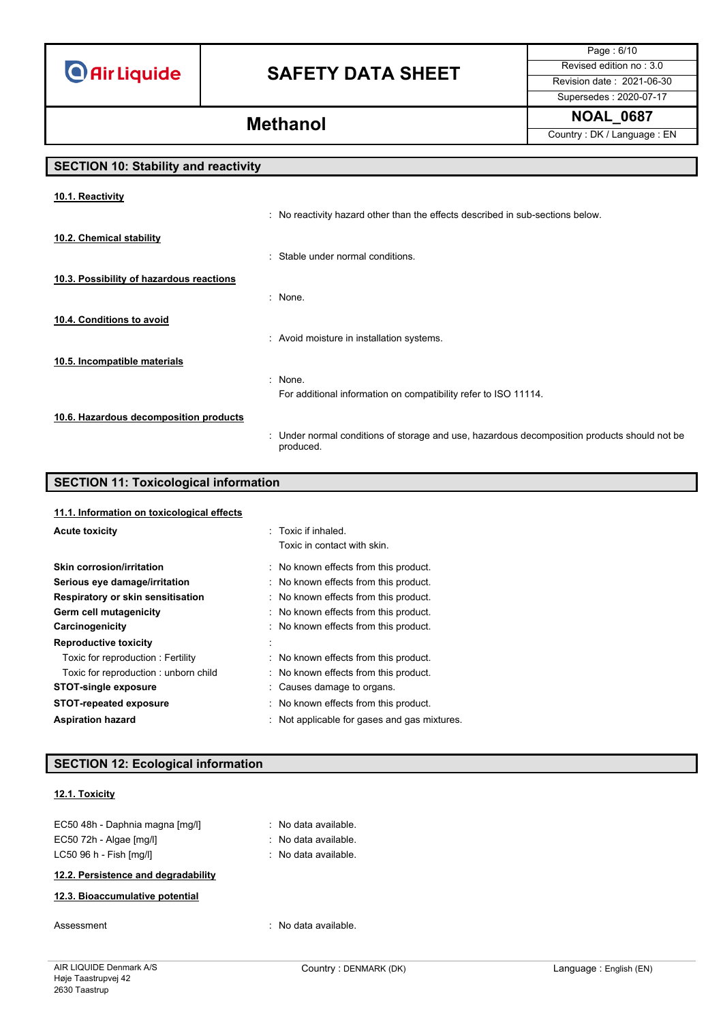# **SAFETY DATA SHEET** Revised edition no : 3.0

Page : 6/10 Supersedes : 2020-07-17

**NOAL\_0687 Methanol**

Country : DK / Language : EN

# **SECTION 10: Stability and reactivity**

| 10.1. Reactivity                         |                                                                                                           |
|------------------------------------------|-----------------------------------------------------------------------------------------------------------|
|                                          | : No reactivity hazard other than the effects described in sub-sections below.                            |
| 10.2. Chemical stability                 |                                                                                                           |
|                                          | : Stable under normal conditions.                                                                         |
| 10.3. Possibility of hazardous reactions |                                                                                                           |
|                                          | : None.                                                                                                   |
| 10.4. Conditions to avoid                |                                                                                                           |
|                                          | : Avoid moisture in installation systems.                                                                 |
| 10.5. Incompatible materials             |                                                                                                           |
|                                          | : None.                                                                                                   |
|                                          | For additional information on compatibility refer to ISO 11114.                                           |
| 10.6. Hazardous decomposition products   |                                                                                                           |
|                                          | : Under normal conditions of storage and use, hazardous decomposition products should not be<br>produced. |
|                                          |                                                                                                           |

## **SECTION 11: Toxicological information**

| 11.1. Information on toxicological effects |                                              |
|--------------------------------------------|----------------------------------------------|
| <b>Acute toxicity</b>                      | : Toxic if inhaled.                          |
|                                            | Toxic in contact with skin.                  |
| Skin corrosion/irritation                  | : No known effects from this product.        |
| Serious eye damage/irritation              | : No known effects from this product.        |
| Respiratory or skin sensitisation          | : No known effects from this product.        |
| Germ cell mutagenicity                     | : No known effects from this product.        |
| Carcinogenicity                            | : No known effects from this product.        |
| <b>Reproductive toxicity</b>               |                                              |
| Toxic for reproduction: Fertility          | : No known effects from this product.        |
| Toxic for reproduction: unborn child       | No known effects from this product.          |
| <b>STOT-single exposure</b>                | : Causes damage to organs.                   |
| <b>STOT-repeated exposure</b>              | : No known effects from this product.        |
| <b>Aspiration hazard</b>                   | : Not applicable for gases and gas mixtures. |

# **SECTION 12: Ecological information**

### **12.1. Toxicity**

| EC50 48h - Daphnia magna [mq/l] | : No data available.            |
|---------------------------------|---------------------------------|
| $EC50$ 72h - Algae $[mg/l]$     | : No data available.            |
| $LC50$ 96 h - Fish $[mq/l]$     | $\therefore$ No data available. |
|                                 |                                 |

# **12.2. Persistence and degradability**

## **12.3. Bioaccumulative potential**

Assessment in the contraction of the contraction of the contraction of the contraction of the contraction of the contraction of the contraction of the contraction of the contraction of the contraction of the contraction of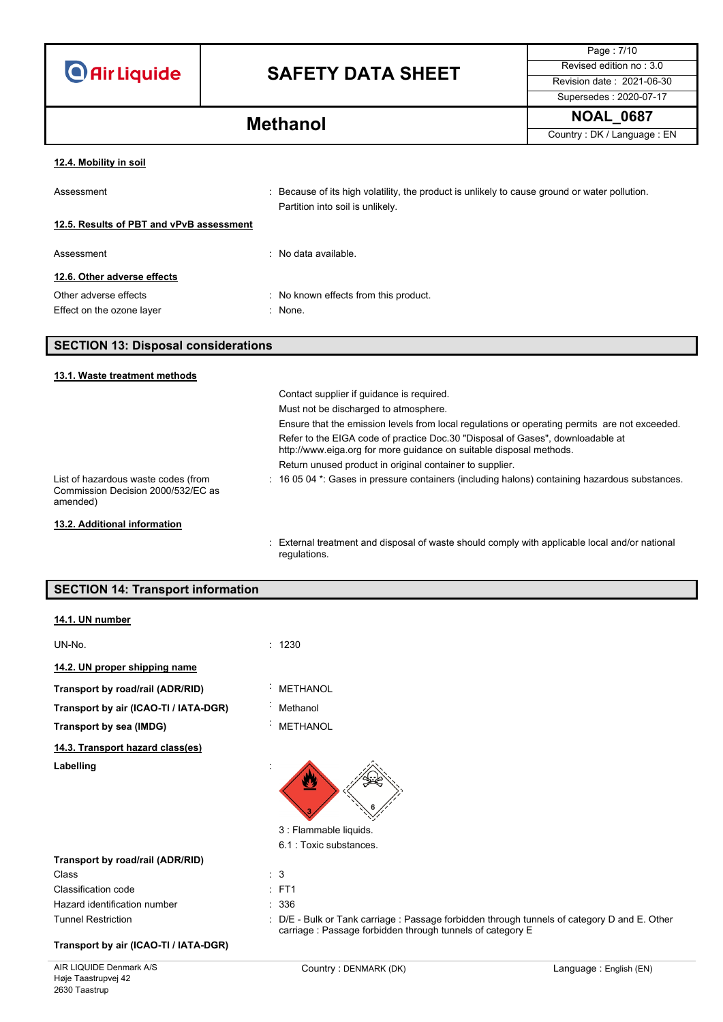| <b>O</b> Air Liquide |  |  |
|----------------------|--|--|
|                      |  |  |

Page : 7/10 Supersedes : 2020-07-17

**NOAL\_0687 Methanol** Country : DK / Language : EN

#### **12.4. Mobility in soil**

Assessment **induced in the cause of its high volatility**, the product is unlikely to cause ground or water pollution. Partition into soil is unlikely.

## **12.5. Results of PBT and vPvB assessment**

Assessment : No data available.

## **12.6. Other adverse effects**

Other adverse effects **in the case of the COS**  $\sim$  No known effects from this product.

Effect on the ozone layer **in the set of the set of the set of the set of the set of the set of the set of the set of the set of the set of the set of the set of the set of the set of the set of the set of the set of the s** 

## **SECTION 13: Disposal considerations**

#### **13.1. Waste treatment methods**

|                                                                                       | Contact supplier if quidance is required.                                                                                                             |
|---------------------------------------------------------------------------------------|-------------------------------------------------------------------------------------------------------------------------------------------------------|
|                                                                                       | Must not be discharged to atmosphere.                                                                                                                 |
|                                                                                       | Ensure that the emission levels from local regulations or operating permits are not exceeded.                                                         |
|                                                                                       | Refer to the EIGA code of practice Doc.30 "Disposal of Gases", downloadable at<br>http://www.eiga.org for more guidance on suitable disposal methods. |
|                                                                                       | Return unused product in original container to supplier.                                                                                              |
| List of hazardous waste codes (from<br>Commission Decision 2000/532/EC as<br>amended) | $\pm$ 16 05 04 $^*$ . Gases in pressure containers (including halons) containing hazardous substances.                                                |
| 13.2. Additional information                                                          |                                                                                                                                                       |
|                                                                                       | : External treatment and disposal of waste should comply with applicable local and/or national<br>regulations.                                        |

## **SECTION 14: Transport information**

### **14.1. UN number**

| UN-No.                                | 1230                    |
|---------------------------------------|-------------------------|
| 14.2. UN proper shipping name         |                         |
| Transport by road/rail (ADR/RID)      | <b>METHANOL</b><br>ä,   |
| Transport by air (ICAO-TI / IATA-DGR) | Methanol<br>×.          |
| Transport by sea (IMDG)               | <b>METHANOL</b><br>ä,   |
| 14.3. Transport hazard class(es)      |                         |
| Labelling                             | 6                       |
|                                       | 3 : Flammable liquids.  |
|                                       | 6.1 : Toxic substances. |
| Transport by road/rail (ADR/RID)      |                         |
| Class                                 | 3                       |

| Class                        |
|------------------------------|
| Classification code          |
| Hazard identification number |
| <b>Tunnel Restriction</b>    |

## **Transport by air (ICAO-TI / IATA-DGR)**

carriage : Passage forbidden through tunnels of category E

: D/E - Bulk or Tank carriage : Passage forbidden through tunnels of category D and E. Other

 $E$  FT1  $: 336$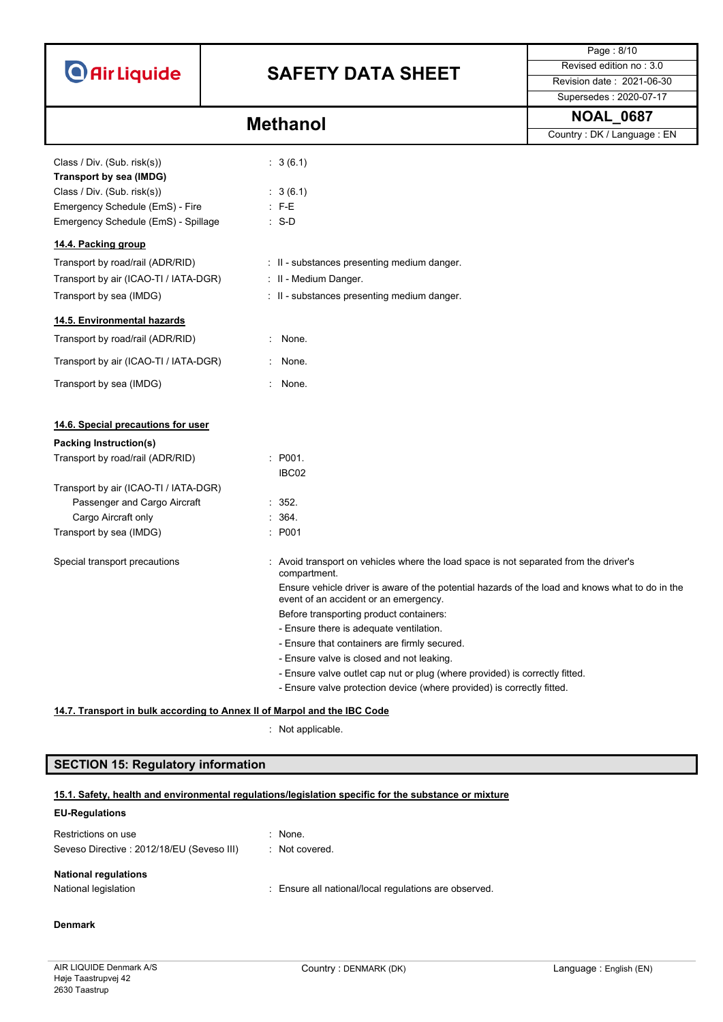

Page : 8/10 Supersedes : 2020-07-17

**NOAL\_0687 Methanol** Country : DK / Language : EN

| Class / Div. (Sub. risk(s))           | : 3(6.1)                                                                                                                                 |
|---------------------------------------|------------------------------------------------------------------------------------------------------------------------------------------|
| Transport by sea (IMDG)               |                                                                                                                                          |
| Class / Div. (Sub. risk(s))           | : 3(6.1)                                                                                                                                 |
| Emergency Schedule (EmS) - Fire       | $: F-E$                                                                                                                                  |
| Emergency Schedule (EmS) - Spillage   | $: S-D$                                                                                                                                  |
| 14.4. Packing group                   |                                                                                                                                          |
| Transport by road/rail (ADR/RID)      | : II - substances presenting medium danger.                                                                                              |
| Transport by air (ICAO-TI / IATA-DGR) | : II - Medium Danger.                                                                                                                    |
| Transport by sea (IMDG)               | : II - substances presenting medium danger.                                                                                              |
| 14.5. Environmental hazards           |                                                                                                                                          |
| Transport by road/rail (ADR/RID)      | None.                                                                                                                                    |
| Transport by air (ICAO-TI / IATA-DGR) | None.                                                                                                                                    |
| Transport by sea (IMDG)               | None.                                                                                                                                    |
| 14.6. Special precautions for user    |                                                                                                                                          |
| <b>Packing Instruction(s)</b>         |                                                                                                                                          |
| Transport by road/rail (ADR/RID)      | : P001.                                                                                                                                  |
|                                       | IBC02                                                                                                                                    |
| Transport by air (ICAO-TI / IATA-DGR) |                                                                                                                                          |
| Passenger and Cargo Aircraft          | : 352.                                                                                                                                   |
| Cargo Aircraft only                   | : 364.                                                                                                                                   |
| Transport by sea (IMDG)               | : P001                                                                                                                                   |
| Special transport precautions         | : Avoid transport on vehicles where the load space is not separated from the driver's<br>compartment.                                    |
|                                       | Ensure vehicle driver is aware of the potential hazards of the load and knows what to do in the<br>event of an accident or an emergency. |
|                                       | Before transporting product containers:                                                                                                  |
|                                       | - Ensure there is adequate ventilation.                                                                                                  |
|                                       | - Ensure that containers are firmly secured.                                                                                             |
|                                       | - Ensure valve is closed and not leaking.                                                                                                |
|                                       | - Ensure valve outlet cap nut or plug (where provided) is correctly fitted.                                                              |
|                                       | - Ensure valve protection device (where provided) is correctly fitted.                                                                   |

## **14.7. Transport in bulk according to Annex II of Marpol and the IBC Code**

: Not applicable.

# **SECTION 15: Regulatory information**

## **EU-Regulations**

| Restrictions on use<br>Seveso Directive: 2012/18/EU (Seveso III) | $\therefore$ None.<br>. Not covered.                  |
|------------------------------------------------------------------|-------------------------------------------------------|
| <b>National regulations</b>                                      |                                                       |
| National legislation                                             | : Ensure all national/local regulations are observed. |

## **Denmark**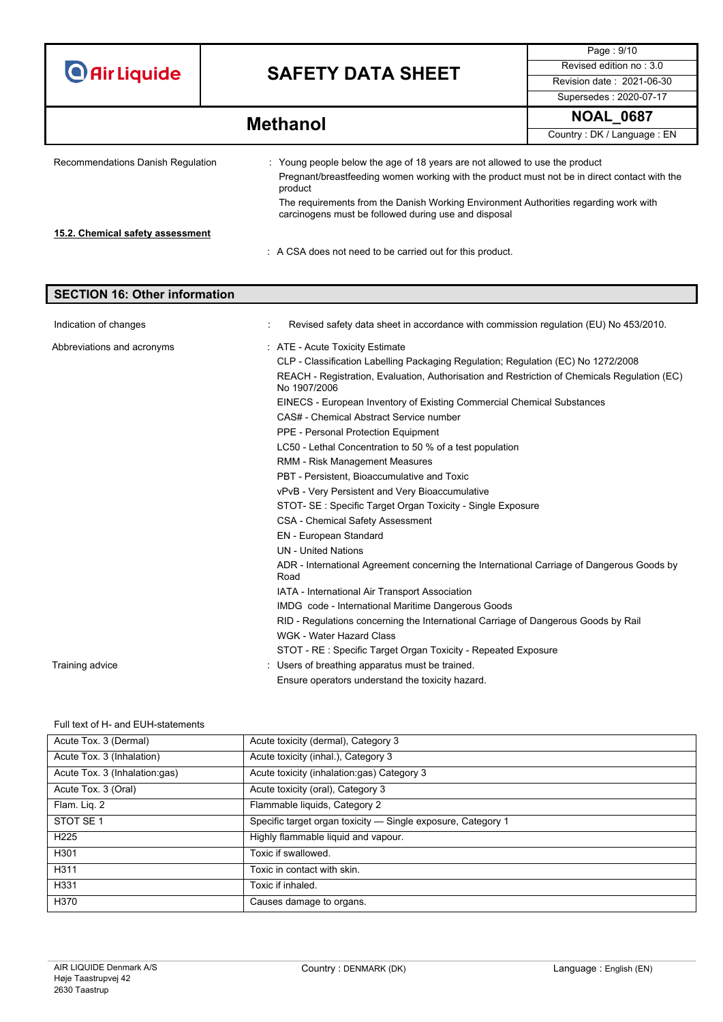|                                                                                                                  |  |                                                                                                                                              | Page: 9/10                |
|------------------------------------------------------------------------------------------------------------------|--|----------------------------------------------------------------------------------------------------------------------------------------------|---------------------------|
| <b>O</b> Air Liquide                                                                                             |  | <b>SAFETY DATA SHEET</b>                                                                                                                     | Revised edition no: 3.0   |
|                                                                                                                  |  |                                                                                                                                              | Revision date: 2021-06-30 |
|                                                                                                                  |  |                                                                                                                                              | Supersedes: 2020-07-17    |
| <b>Methanol</b>                                                                                                  |  | <b>NOAL_0687</b>                                                                                                                             |                           |
|                                                                                                                  |  | Country: DK / Language: EN                                                                                                                   |                           |
| Recommendations Danish Regulation<br>: Young people below the age of 18 years are not allowed to use the product |  |                                                                                                                                              |                           |
|                                                                                                                  |  | Pregnant/breastfeeding women working with the product must not be in direct contact with the<br>product                                      |                           |
|                                                                                                                  |  | The requirements from the Danish Working Environment Authorities regarding work with<br>carcinogens must be followed during use and disposal |                           |
| 15.2. Chemical safety assessment                                                                                 |  |                                                                                                                                              |                           |
|                                                                                                                  |  | : A CSA does not need to be carried out for this product.                                                                                    |                           |

| <b>SECTION 16: Other information</b> |                                                                                                              |
|--------------------------------------|--------------------------------------------------------------------------------------------------------------|
|                                      |                                                                                                              |
| Indication of changes                | Revised safety data sheet in accordance with commission regulation (EU) No 453/2010.                         |
| Abbreviations and acronyms           | : ATE - Acute Toxicity Estimate                                                                              |
|                                      | CLP - Classification Labelling Packaging Regulation; Regulation (EC) No 1272/2008                            |
|                                      | REACH - Registration, Evaluation, Authorisation and Restriction of Chemicals Regulation (EC)<br>No 1907/2006 |
|                                      | EINECS - European Inventory of Existing Commercial Chemical Substances                                       |
|                                      | CAS# - Chemical Abstract Service number                                                                      |
|                                      | PPE - Personal Protection Equipment                                                                          |
|                                      | LC50 - Lethal Concentration to 50 % of a test population                                                     |
|                                      | <b>RMM - Risk Management Measures</b>                                                                        |
|                                      | PBT - Persistent. Bioaccumulative and Toxic                                                                  |
|                                      | vPvB - Very Persistent and Very Bioaccumulative                                                              |
|                                      | STOT- SE: Specific Target Organ Toxicity - Single Exposure                                                   |
|                                      | <b>CSA - Chemical Safety Assessment</b>                                                                      |
|                                      | <b>EN</b> - European Standard                                                                                |
|                                      | <b>UN</b> - United Nations                                                                                   |
|                                      | ADR - International Agreement concerning the International Carriage of Dangerous Goods by<br>Road            |
|                                      | IATA - International Air Transport Association                                                               |
|                                      | IMDG code - International Maritime Dangerous Goods                                                           |
|                                      | RID - Regulations concerning the International Carriage of Dangerous Goods by Rail                           |
|                                      | WGK - Water Hazard Class                                                                                     |
|                                      | STOT - RE: Specific Target Organ Toxicity - Repeated Exposure                                                |
| Training advice                      | Users of breathing apparatus must be trained.                                                                |
|                                      | Ensure operators understand the toxicity hazard.                                                             |

Full text of H- and EUH-statements

| Acute Tox. 3 (Dermal)         | Acute toxicity (dermal), Category 3                          |
|-------------------------------|--------------------------------------------------------------|
| Acute Tox. 3 (Inhalation)     | Acute toxicity (inhal.), Category 3                          |
| Acute Tox. 3 (Inhalation:gas) | Acute toxicity (inhalation:gas) Category 3                   |
| Acute Tox. 3 (Oral)           | Acute toxicity (oral), Category 3                            |
| Flam. Lig. 2                  | Flammable liquids, Category 2                                |
| STOT SE <sub>1</sub>          | Specific target organ toxicity - Single exposure, Category 1 |
| H <sub>225</sub>              | Highly flammable liquid and vapour.                          |
| H301                          | Toxic if swallowed.                                          |
| H311                          | Toxic in contact with skin.                                  |
| H331                          | Toxic if inhaled.                                            |
| H370                          | Causes damage to organs.                                     |